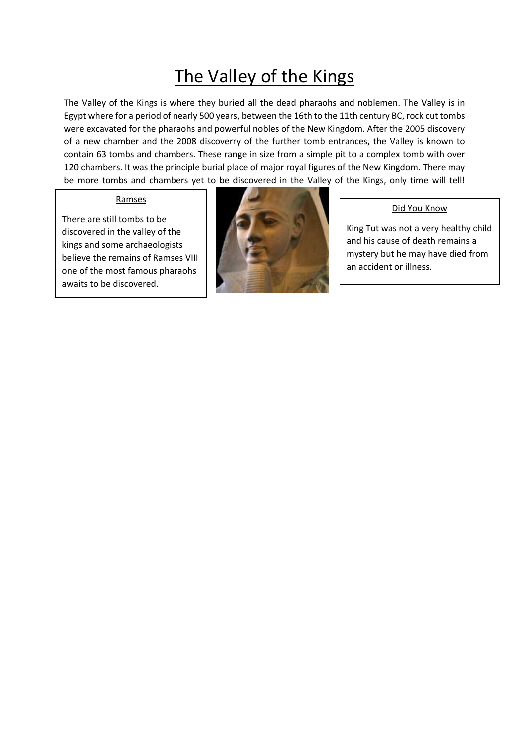## The Valley of the Kings

The Valley of the Kings is where they buried all the dead pharaohs and noblemen. The Valley is in Egypt where for a period of nearly 500 years, between the 16th to the 11th century BC, rock cut tombs were excavated for the pharaohs and powerful nobles of the New Kingdom. After the 2005 discovery of a new chamber and the 2008 discoverry of the further tomb entrances, the Valley is known to contain 63 tombs and chambers. These range in size from a simple pit to a complex tomb with over 120 chambers. It was the principle burial place of major royal figures of the New Kingdom. There may be more tombs and chambers yet to be discovered in the Valley of the Kings, only time will tell!

## Ramses

There are still tombs to be discovered in the valley of the kings and some archaeologists believe the remains of Ramses VIII one of the most famous pharaohs awaits to be discovered.



## Did You Know

King Tut was not a very healthy child and his cause of death remains a mystery but he may have died from an accident or illness.